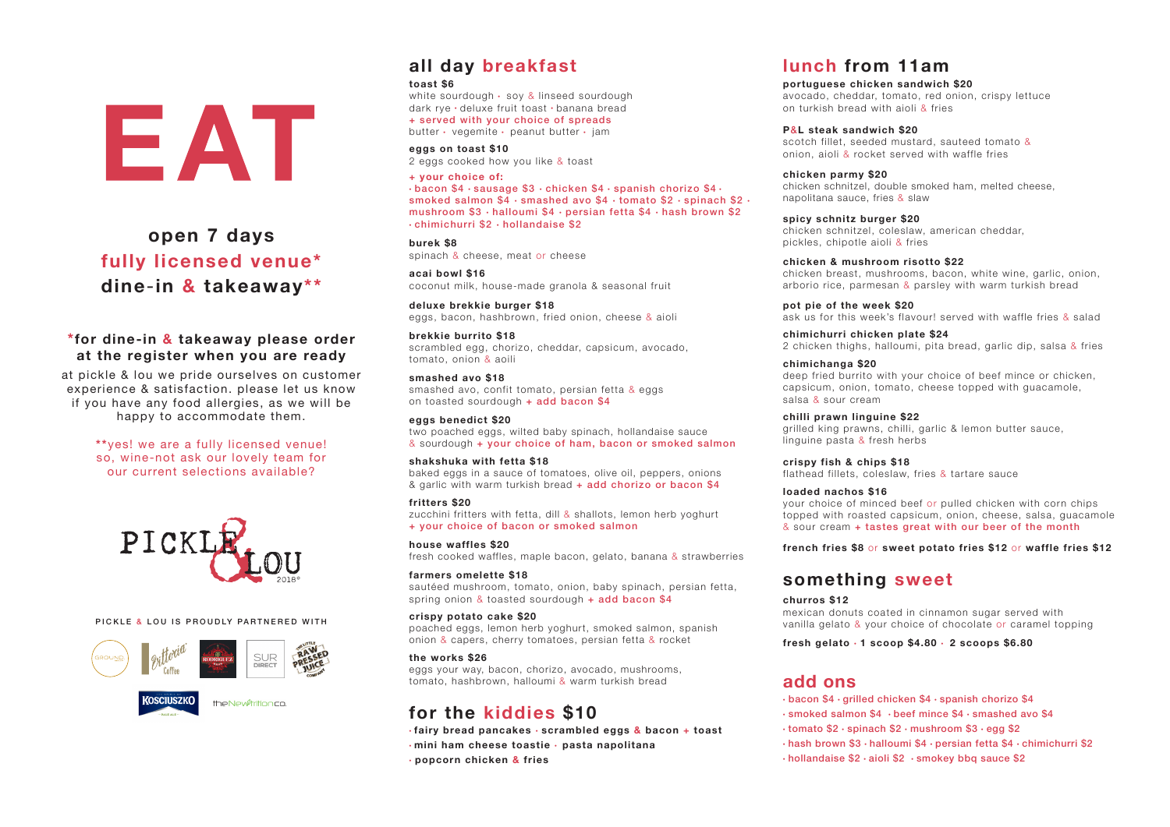# **all day breakfast**

### **toast \$6**

white sourdough  $\cdot$  soy & linseed sourdough dark rye · deluxe fruit toast · banana bread + served with your choice of spreads butter  $\cdot$  vegemite  $\cdot$  peanut butter  $\cdot$  jam

**eggs on toast \$10** 2 eggs cooked how you like & toast

### **+ your choice of:**

 $\cdot$ bacon \$4  $\cdot$ sausage \$3  $\cdot$  chicken \$4  $\cdot$  spanish chorizo \$4  $\cdot$ smoked salmon \$4  $\cdot$  smashed avo \$4  $\cdot$  tomato \$2  $\cdot$  spinach \$2  $\cdot$ mushroom  $$3 \cdot$ halloumi  $$4 \cdot$ persian fetta  $$4 \cdot$ hash brown  $$2$  $\cdot$ chimichurri \$2  $\cdot$  hollandaise \$2

**burek \$8** spinach & cheese, meat or cheese

**acai bowl \$16** coconut milk, house-made granola & seasonal fruit

**deluxe brekkie burger \$18** eggs, bacon, hashbrown, fried onion, cheese & aioli

sautéed mushroom, tomato, onion, baby spinach, persian fetta, spring onion & toasted sourdough + add bacon \$4

**brekkie burrito \$18**  scrambled egg, chorizo, cheddar, capsicum, avocado, tomato, onion & aoili

**smashed avo \$18** smashed avo, confit tomato, persian fetta & eggs on toasted sourdough + add bacon \$4

### **eggs benedict \$20**

two poached eggs, wilted baby spinach, hollandaise sauce & sourdough + your choice of ham, bacon or smoked salmon

### **shakshuka with fetta \$18**

baked eggs in a sauce of tomatoes, olive oil, peppers, onions & garlic with warm turkish bread + add chorizo or bacon \$4

### **fritters \$20**

zucchini fritters with fetta, dill & shallots, lemon herb yoghurt + your choice of bacon or smoked salmon

**house waffles \$20** fresh cooked waffles, maple bacon, gelato, banana & strawberries

### **farmers omelette \$18**

# **crispy potato cake \$20**

poached eggs, lemon herb yoghurt, smoked salmon, spanish onion & capers, cherry tomatoes, persian fetta & rocket

### **the works \$26**

eggs your way, bacon, chorizo, avocado, mushrooms, tomato, hashbrown, halloumi & warm turkish bread

# **lunch from 11am**

### **portuguese chicken sandwich \$20**

avocado, cheddar, tomato, red onion, crispy lettuce

on turkish bread with aioli & fries

# **P**&**L steak sandwich \$20**

scotch fillet, seeded mustard, sauteed tomato & onion, aioli & rocket served with waffle fries

**chicken parmy \$20** chicken schnitzel, double smoked ham, melted cheese, napolitana sauce, fries & slaw

- **fairy bread pancakes**  $\cdot$  scrambled eggs & bacon + toast
- **·mini ham cheese toastie · pasta napolitana**
- l **popcorn chicken & fries**

chicken schnitzel, coleslaw, american cheddar,

**spicy schnitz burger \$20** pickles, chipotle aioli & fries

**chicken & mushroom risotto \$22**

chicken breast, mushrooms, bacon, white wine, garlic, onion, arborio rice, parmesan & parsley with warm turkish bread

**pot pie of the week \$20**

ask us for this week's flavour! served with waffle fries & salad

**chimichurri chicken plate \$24**

2 chicken thighs, halloumi, pita bread, garlic dip, salsa & fries

deep fried burrito with your choice of beef mince or chicken, capsicum, onion, tomato, cheese topped with guacamole,

**chimichanga \$20** salsa & sour cream

grilled king prawns, chilli, garlic & lemon butter sauce,

**chilli prawn linguine \$22** linguine pasta & fresh herbs

**crispy fish & chips \$18** 

flathead fillets, coleslaw, fries & tartare sauce

# **loaded nachos \$16**

your choice of minced beef or pulled chicken with corn chips topped with roasted capsicum, onion, cheese, salsa, guacamole & sour cream + tastes great with our beer of the month

**french fries \$8** or **sweet potato fries \$12** or **waffle fries \$12**

# **something sweet**

**churros \$12** mexican donuts coated in cinnamon sugar served with vanilla gelato & your choice of chocolate or caramel topping

### **fresh gelato** l **1 scoop \$4.80** <sup>l</sup> **2 scoops \$6.80**

 $\cdot$  bacon \$4  $\cdot$  grilled chicken \$4  $\cdot$  spanish chorizo \$4  $\cdot$  smoked salmon \$4  $\cdot$  beef mince \$4  $\cdot$  smashed avo \$4  $\cdot$  tomato \$2  $\cdot$  spinach \$2  $\cdot$  mushroom \$3  $\cdot$  egg \$2  $\cdot$ hash brown \$3 $\cdot$ halloumi \$4 $\cdot$  persian fetta \$4 $\cdot$ chimichurri \$2  $\cdot$  hollandaise \$2  $\cdot$  aioli \$2  $\cdot$  smokey bbq sauce \$2

# **\*for dine-in & takeaway please order at the register when you are ready**

at pickle & lou we pride ourselves on customer experience & satisfaction. please let us know if you have any food allergies, as we will be happy to accommodate them.

> **\*\***yes! we are a fully licensed venue! so, wine-not ask our lovely team for our current selections available?

# EAT

# **open 7 days fully licensed venue\* dine**-**in & takeaway\*\***



# PICKLE & LOU IS PROUDLY PARTNERED WITH



# **add ons**

- 
- 
- 
- 
- 

# **for the kiddies \$10**